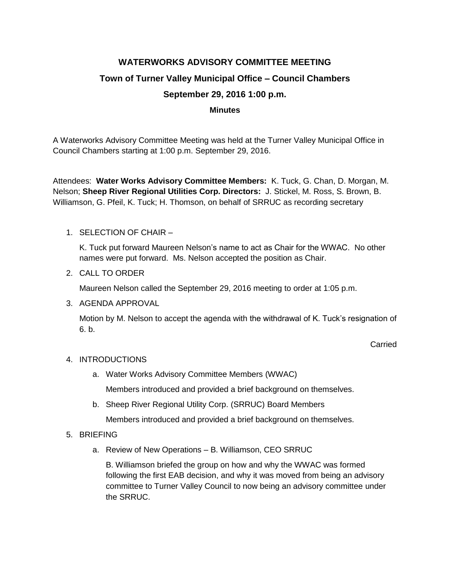# **WATERWORKS ADVISORY COMMITTEE MEETING Town of Turner Valley Municipal Office – Council Chambers September 29, 2016 1:00 p.m.**

#### **Minutes**

A Waterworks Advisory Committee Meeting was held at the Turner Valley Municipal Office in Council Chambers starting at 1:00 p.m. September 29, 2016.

Attendees: **Water Works Advisory Committee Members:** K. Tuck, G. Chan, D. Morgan, M. Nelson; **Sheep River Regional Utilities Corp. Directors:** J. Stickel, M. Ross, S. Brown, B. Williamson, G. Pfeil, K. Tuck; H. Thomson, on behalf of SRRUC as recording secretary

1. SELECTION OF CHAIR –

K. Tuck put forward Maureen Nelson's name to act as Chair for the WWAC. No other names were put forward. Ms. Nelson accepted the position as Chair.

2. CALL TO ORDER

Maureen Nelson called the September 29, 2016 meeting to order at 1:05 p.m.

3. AGENDA APPROVAL

Motion by M. Nelson to accept the agenda with the withdrawal of K. Tuck's resignation of 6. b.

**Carried** 

## 4. INTRODUCTIONS

- a. Water Works Advisory Committee Members (WWAC) Members introduced and provided a brief background on themselves.
- b. Sheep River Regional Utility Corp. (SRRUC) Board Members

Members introduced and provided a brief background on themselves.

#### 5. BRIEFING

a. Review of New Operations – B. Williamson, CEO SRRUC

B. Williamson briefed the group on how and why the WWAC was formed following the first EAB decision, and why it was moved from being an advisory committee to Turner Valley Council to now being an advisory committee under the SRRUC.